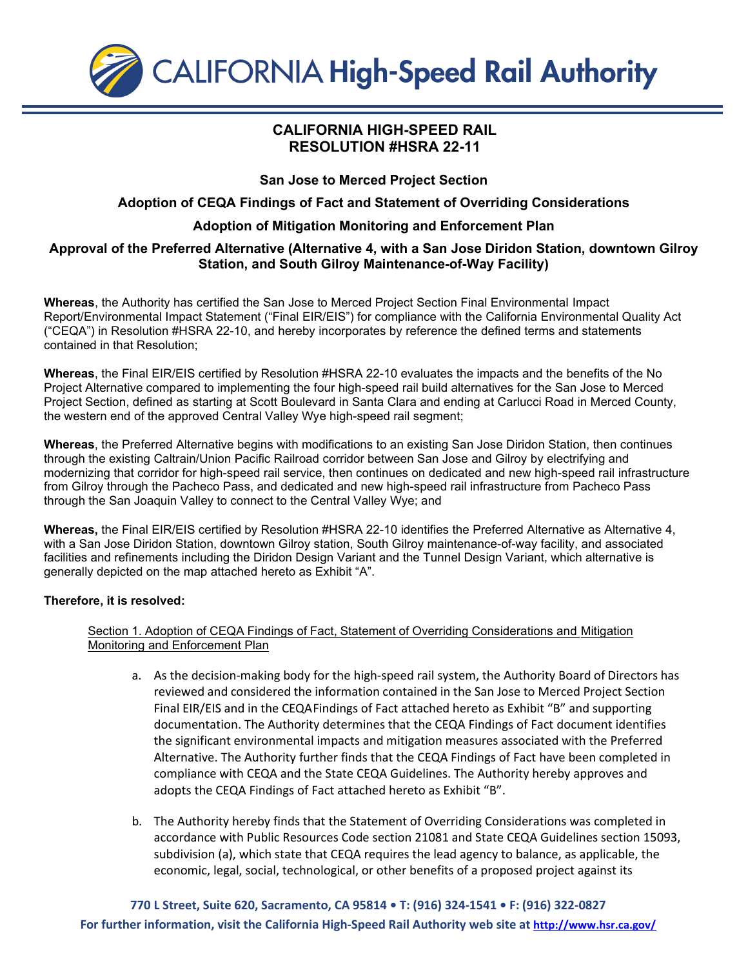

# **CALIFORNIA HIGH-SPEED RAIL RESOLUTION #HSRA 22-11**

### **San Jose to Merced Project Section**

# **Adoption of CEQA Findings of Fact and Statement of Overriding Considerations**

# **Adoption of Mitigation Monitoring and Enforcement Plan**

### **Approval of the Preferred Alternative (Alternative 4, with a San Jose Diridon Station, downtown Gilroy Station, and South Gilroy Maintenance-of-Way Facility)**

**Whereas**, the Authority has certified the San Jose to Merced Project Section Final Environmental Impact Report/Environmental Impact Statement ("Final EIR/EIS") for compliance with the California Environmental Quality Act ("CEQA") in Resolution #HSRA 22-10, and hereby incorporates by reference the defined terms and statements contained in that Resolution;

**Whereas**, the Final EIR/EIS certified by Resolution #HSRA 22-10 evaluates the impacts and the benefits of the No Project Alternative compared to implementing the four high-speed rail build alternatives for the San Jose to Merced Project Section, defined as starting at Scott Boulevard in Santa Clara and ending at Carlucci Road in Merced County, the western end of the approved Central Valley Wye high-speed rail segment;

**Whereas**, the Preferred Alternative begins with modifications to an existing San Jose Diridon Station, then continues through the existing Caltrain/Union Pacific Railroad corridor between San Jose and Gilroy by electrifying and modernizing that corridor for high-speed rail service, then continues on dedicated and new high-speed rail infrastructure from Gilroy through the Pacheco Pass, and dedicated and new high-speed rail infrastructure from Pacheco Pass through the San Joaquin Valley to connect to the Central Valley Wye; and

**Whereas,** the Final EIR/EIS certified by Resolution #HSRA 22-10 identifies the Preferred Alternative as Alternative 4, with a San Jose Diridon Station, downtown Gilroy station, South Gilroy maintenance-of-way facility, and associated facilities and refinements including the Diridon Design Variant and the Tunnel Design Variant, which alternative is generally depicted on the map attached hereto as Exhibit "A".

### **Therefore, it is resolved:**

### Section 1. Adoption of CEQA Findings of Fact, Statement of Overriding Considerations and Mitigation Monitoring and Enforcement Plan

- a. As the decision-making body for the high-speed rail system, the Authority Board of Directors has reviewed and considered the information contained in the San Jose to Merced Project Section Final EIR/EIS and in the CEQA Findings of Fact attached hereto as Exhibit "B" and supporting documentation. The Authority determines that the CEQA Findings of Fact document identifies the significant environmental impacts and mitigation measures associated with the Preferred Alternative. The Authority further finds that the CEQA Findings of Fact have been completed in compliance with CEQA and the State CEQA Guidelines. The Authority hereby approves and adopts the CEQA Findings of Fact attached hereto as Exhibit "B".
- b. The Authority hereby finds that the Statement of Overriding Considerations was completed in accordance with Public Resources Code section 21081 and State CEQA Guidelines section 15093, subdivision (a), which state that CEQA requires the lead agency to balance, as applicable, the economic, legal, social, technological, or other benefits of a proposed project against its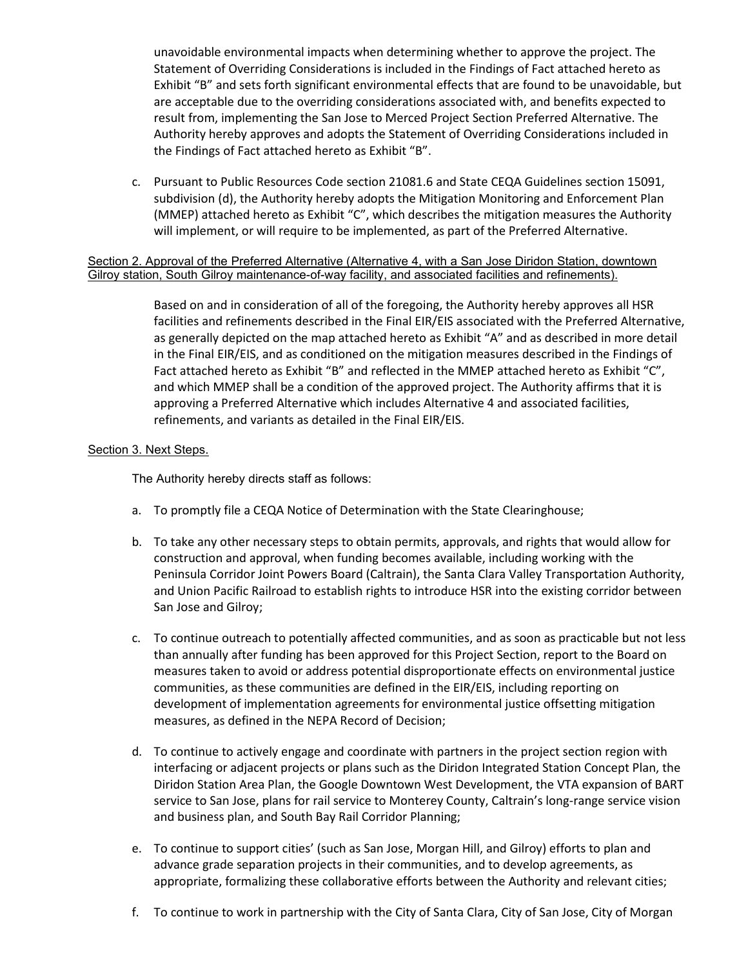unavoidable environmental impacts when determining whether to approve the project. The Statement of Overriding Considerations is included in the Findings of Fact attached hereto as Exhibit "B" and sets forth significant environmental effects that are found to be unavoidable, but are acceptable due to the overriding considerations associated with, and benefits expected to result from, implementing the San Jose to Merced Project Section Preferred Alternative. The Authority hereby approves and adopts the Statement of Overriding Considerations included in the Findings of Fact attached hereto as Exhibit "B".

c. Pursuant to Public Resources Code section 21081.6 and State CEQA Guidelines section 15091, subdivision (d), the Authority hereby adopts the Mitigation Monitoring and Enforcement Plan (MMEP) attached hereto as Exhibit "C", which describes the mitigation measures the Authority will implement, or will require to be implemented, as part of the Preferred Alternative.

Section 2. Approval of the Preferred Alternative (Alternative 4, with a San Jose Diridon Station, downtown Gilroy station, South Gilroy maintenance-of-way facility, and associated facilities and refinements).

> Based on and in consideration of all of the foregoing, the Authority hereby approves all HSR facilities and refinements described in the Final EIR/EIS associated with the Preferred Alternative, as generally depicted on the map attached hereto as Exhibit "A" and as described in more detail in the Final EIR/EIS, and as conditioned on the mitigation measures described in the Findings of Fact attached hereto as Exhibit "B" and reflected in the MMEP attached hereto as Exhibit "C", and which MMEP shall be a condition of the approved project. The Authority affirms that it is approving a Preferred Alternative which includes Alternative 4 and associated facilities, refinements, and variants as detailed in the Final EIR/EIS.

#### Section 3. Next Steps.

The Authority hereby directs staff as follows:

- a. To promptly file a CEQA Notice of Determination with the State Clearinghouse;
- b. To take any other necessary steps to obtain permits, approvals, and rights that would allow for construction and approval, when funding becomes available, including working with the Peninsula Corridor Joint Powers Board (Caltrain), the Santa Clara Valley Transportation Authority, and Union Pacific Railroad to establish rights to introduce HSR into the existing corridor between San Jose and Gilroy;
- c. To continue outreach to potentially affected communities, and as soon as practicable but not less than annually after funding has been approved for this Project Section, report to the Board on measures taken to avoid or address potential disproportionate effects on environmental justice communities, as these communities are defined in the EIR/EIS, including reporting on development of implementation agreements for environmental justice offsetting mitigation measures, as defined in the NEPA Record of Decision;
- d. To continue to actively engage and coordinate with partners in the project section region with interfacing or adjacent projects or plans such as the Diridon Integrated Station Concept Plan, the Diridon Station Area Plan, the Google Downtown West Development, the VTA expansion of BART service to San Jose, plans for rail service to Monterey County, Caltrain's long-range service vision and business plan, and South Bay Rail Corridor Planning;
- e. To continue to support cities' (such as San Jose, Morgan Hill, and Gilroy) efforts to plan and advance grade separation projects in their communities, and to develop agreements, as appropriate, formalizing these collaborative efforts between the Authority and relevant cities;
- f. To continue to work in partnership with the City of Santa Clara, City of San Jose, City of Morgan